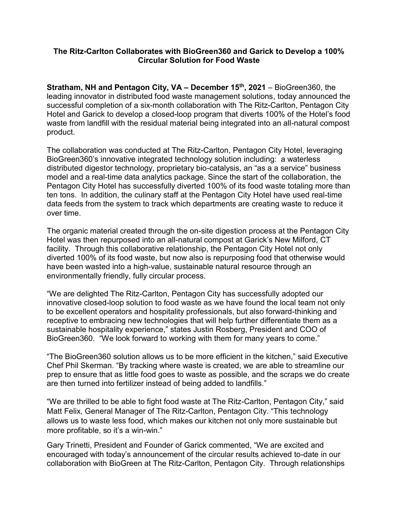#### **The Ritz-Carlton Collaborates with BioGreen360 and Garick to Develop a 100% Circular Solution for Food Waste**

**Stratham, NH and Pentagon City, VA – December 15th , 2021** – BioGreen360, the leading innovator in distributed food waste management solutions, today announced the successful completion of a six-month collaboration with The Ritz-Carlton, Pentagon City Hotel and Garick to develop a closed-loop program that diverts 100% of the Hotel's food waste from landfill with the residual material being integrated into an all-natural compost product.

The collaboration was conducted at The Ritz-Carlton, Pentagon City Hotel, leveraging BioGreen360's innovative integrated technology solution including: a waterless distributed digestor technology, proprietary bio-catalysis, an "as a a service" business model and a real-time data analytics package. Since the start of the collaboration, the Pentagon City Hotel has successfully diverted 100% of its food waste totaling more than ten tons. In addition, the culinary staff at the Pentagon City Hotel have used real-time data feeds from the system to track which departments are creating waste to reduce it over time.

The organic material created through the on-site digestion process at the Pentagon City Hotel was then repurposed into an all-natural compost at Garick's New Milford, CT facility. Through this collaborative relationship, the Pentagon City Hotel not only diverted 100% of its food waste, but now also is repurposing food that otherwise would have been wasted into a high-value, sustainable natural resource through an environmentally friendly, fully circular process.

"We are delighted The Ritz-Carlton, Pentagon City has successfully adopted our innovative closed-loop solution to food waste as we have found the local team not only to be excellent operators and hospitality professionals, but also forward-thinking and receptive to embracing new technologies that will help further differentiate them as a sustainable hospitality experience," states Justin Rosberg, President and COO of BioGreen360. "We look forward to working with them for many years to come."

"The BioGreen360 solution allows us to be more efficient in the kitchen," said Executive Chef Phil Skerman. "By tracking where waste is created, we are able to streamline our prep to ensure that as little food goes to waste as possible, and the scraps we do create are then turned into fertilizer instead of being added to landfills."

"We are thrilled to be able to fight food waste at The Ritz-Carlton, Pentagon City," said Matt Felix, General Manager of The Ritz-Carlton, Pentagon City. "This technology allows us to waste less food, which makes our kitchen not only more sustainable but more profitable, so it's a win-win."

Gary Trinetti, President and Founder of Garick commented, "We are excited and encouraged with today's announcement of the circular results achieved to-date in our collaboration with BioGreen at The Ritz-Carlton, Pentagon City. Through relationships